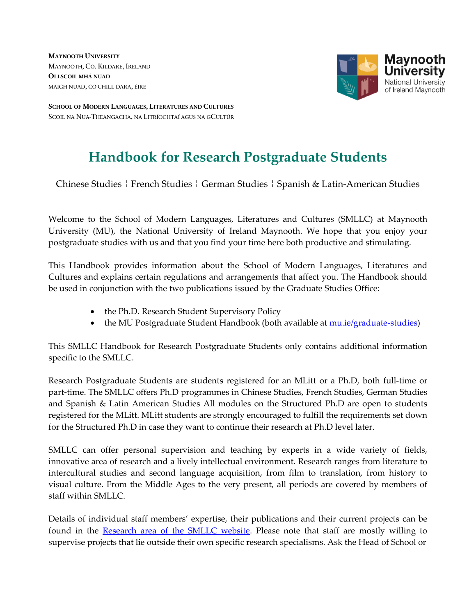**MAYNOOTH UNIVERSITY** MAYNOOTH, CO. KILDARE, IRELAND **OLLSCOIL MHÁ NUAD** MAIGH NUAD, CO CHILL DARA, ÉIRE



**SCHOOL OF MODERN LANGUAGES, LITERATURES AND CULTURES**  SCOIL NA NUA-THEANGACHA, NA LITRÍOCHTAÍ AGUS NA GCULTÚR

# **Handbook for Research Postgraduate Students**

Chinese Studies ¦ French Studies ¦ German Studies ¦ Spanish & Latin-American Studies

Welcome to the School of Modern Languages, Literatures and Cultures (SMLLC) at Maynooth University (MU), the National University of Ireland Maynooth. We hope that you enjoy your postgraduate studies with us and that you find your time here both productive and stimulating.

This Handbook provides information about the School of Modern Languages, Literatures and Cultures and explains certain regulations and arrangements that affect you. The Handbook should be used in conjunction with the two publications issued by the Graduate Studies Office:

- the Ph.D. Research Student Supervisory Policy
- the MU Postgraduate Student Handbook (both available at [mu.ie/graduate-studies\)](https://www.maynoothuniversity.ie/graduate-studies)

This SMLLC Handbook for Research Postgraduate Students only contains additional information specific to the SMLLC.

Research Postgraduate Students are students registered for an MLitt or a Ph.D, both full-time or part-time. The SMLLC offers Ph.D programmes in Chinese Studies, French Studies, German Studies and Spanish & Latin American Studies All modules on the Structured Ph.D are open to students registered for the MLitt. MLitt students are strongly encouraged to fulfill the requirements set down for the Structured Ph.D in case they want to continue their research at Ph.D level later.

SMLLC can offer personal supervision and teaching by experts in a wide variety of fields, innovative area of research and a lively intellectual environment. Research ranges from literature to intercultural studies and second language acquisition, from film to translation, from history to visual culture. From the Middle Ages to the very present, all periods are covered by members of staff within SMLLC.

Details of individual staff members' expertise, their publications and their current projects can be found in the [Research area of the SMLLC website.](https://www.maynoothuniversity.ie/school-modern-languages/research) Please note that staff are mostly willing to supervise projects that lie outside their own specific research specialisms. Ask the Head of School or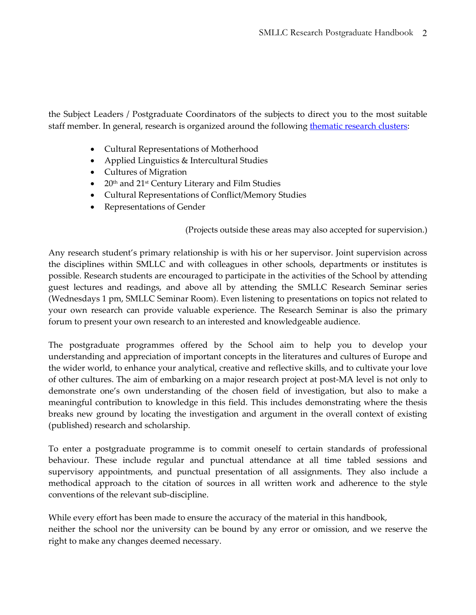the Subject Leaders / Postgraduate Coordinators of the subjects to direct you to the most suitable staff member. In general, research is organized around the following [thematic research clusters:](https://www.maynoothuniversity.ie/school-modern-languages/research)

- Cultural Representations of Motherhood
- Applied Linguistics & Intercultural Studies
- Cultures of Migration
- $\bullet$  20<sup>th</sup> and 21<sup>st</sup> Century Literary and Film Studies
- Cultural Representations of Conflict/Memory Studies
- Representations of Gender

(Projects outside these areas may also accepted for supervision.)

Any research student's primary relationship is with his or her supervisor. Joint supervision across the disciplines within SMLLC and with colleagues in other schools, departments or institutes is possible. Research students are encouraged to participate in the activities of the School by attending guest lectures and readings, and above all by attending the SMLLC Research Seminar series (Wednesdays 1 pm, SMLLC Seminar Room). Even listening to presentations on topics not related to your own research can provide valuable experience. The Research Seminar is also the primary forum to present your own research to an interested and knowledgeable audience.

The postgraduate programmes offered by the School aim to help you to develop your understanding and appreciation of important concepts in the literatures and cultures of Europe and the wider world, to enhance your analytical, creative and reflective skills, and to cultivate your love of other cultures. The aim of embarking on a major research project at post-MA level is not only to demonstrate one's own understanding of the chosen field of investigation, but also to make a meaningful contribution to knowledge in this field. This includes demonstrating where the thesis breaks new ground by locating the investigation and argument in the overall context of existing (published) research and scholarship.

To enter a postgraduate programme is to commit oneself to certain standards of professional behaviour. These include regular and punctual attendance at all time tabled sessions and supervisory appointments, and punctual presentation of all assignments. They also include a methodical approach to the citation of sources in all written work and adherence to the style conventions of the relevant sub-discipline.

While every effort has been made to ensure the accuracy of the material in this handbook, neither the school nor the university can be bound by any error or omission, and we reserve the right to make any changes deemed necessary.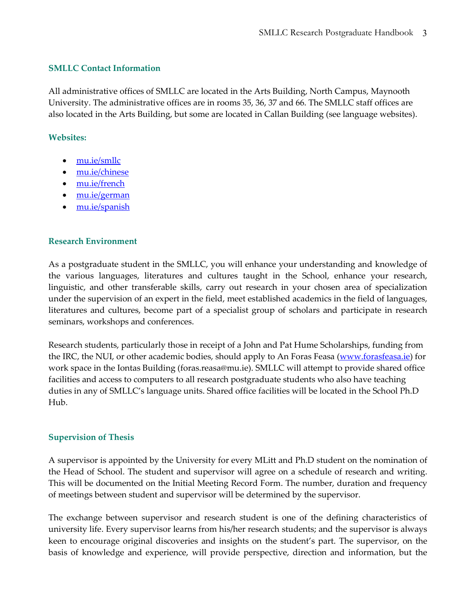#### **SMLLC Contact Information**

All administrative offices of SMLLC are located in the Arts Building, North Campus, Maynooth University. The administrative offices are in rooms 35, 36, 37 and 66. The SMLLC staff offices are also located in the Arts Building, but some are located in Callan Building (see language websites).

## **Websites:**

- [mu.ie/smllc](https://www.maynoothuniversity.ie/school-modern-languages)
- [mu.ie/chinese](https://www.maynoothuniversity.ie/chinese)
- [mu.ie/french](https://www.maynoothuniversity.ie/french)
- [mu.ie/german](https://www.maynoothuniversity.ie/german)
- [mu.ie/spanish](https://www.maynoothuniversity.ie/spanish)

## **Research Environment**

As a postgraduate student in the SMLLC, you will enhance your understanding and knowledge of the various languages, literatures and cultures taught in the School, enhance your research, linguistic, and other transferable skills, carry out research in your chosen area of specialization under the supervision of an expert in the field, meet established academics in the field of languages, literatures and cultures, become part of a specialist group of scholars and participate in research seminars, workshops and conferences.

Research students, particularly those in receipt of a John and Pat Hume Scholarships, funding from the IRC, the NUI, or other academic bodies, should apply to An Foras Feasa [\(www.forasfeasa.ie\)](http://www.forasfeasa.ie/) for work space in the Iontas Building (foras.reasa@mu.ie). SMLLC will attempt to provide shared office facilities and access to computers to all research postgraduate students who also have teaching duties in any of SMLLC's language units. Shared office facilities will be located in the School Ph.D Hub.

#### **Supervision of Thesis**

A supervisor is appointed by the University for every MLitt and Ph.D student on the nomination of the Head of School. The student and supervisor will agree on a schedule of research and writing. This will be documented on the Initial Meeting Record Form. The number, duration and frequency of meetings between student and supervisor will be determined by the supervisor.

The exchange between supervisor and research student is one of the defining characteristics of university life. Every supervisor learns from his/her research students; and the supervisor is always keen to encourage original discoveries and insights on the student's part. The supervisor, on the basis of knowledge and experience, will provide perspective, direction and information, but the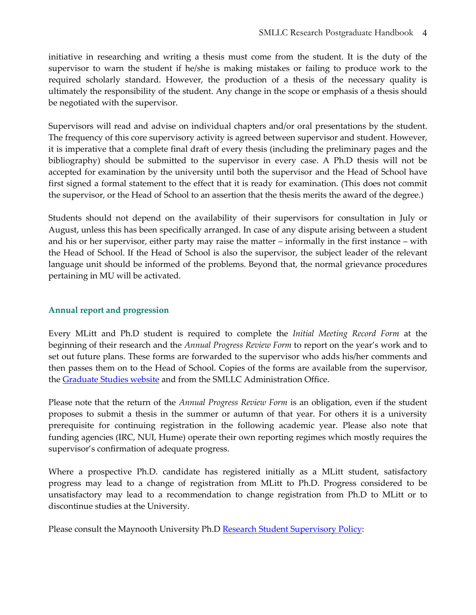initiative in researching and writing a thesis must come from the student. It is the duty of the supervisor to warn the student if he/she is making mistakes or failing to produce work to the required scholarly standard. However, the production of a thesis of the necessary quality is ultimately the responsibility of the student. Any change in the scope or emphasis of a thesis should be negotiated with the supervisor.

Supervisors will read and advise on individual chapters and/or oral presentations by the student. The frequency of this core supervisory activity is agreed between supervisor and student. However, it is imperative that a complete final draft of every thesis (including the preliminary pages and the bibliography) should be submitted to the supervisor in every case. A Ph.D thesis will not be accepted for examination by the university until both the supervisor and the Head of School have first signed a formal statement to the effect that it is ready for examination. (This does not commit the supervisor, or the Head of School to an assertion that the thesis merits the award of the degree.)

Students should not depend on the availability of their supervisors for consultation in July or August, unless this has been specifically arranged. In case of any dispute arising between a student and his or her supervisor, either party may raise the matter – informally in the first instance – with the Head of School. If the Head of School is also the supervisor, the subject leader of the relevant language unit should be informed of the problems. Beyond that, the normal grievance procedures pertaining in MU will be activated.

# **Annual report and progression**

Every MLitt and Ph.D student is required to complete the *Initial Meeting Record Form* at the beginning of their research and the *Annual Progress Review Form* to report on the year's work and to set out future plans. These forms are forwarded to the supervisor who adds his/her comments and then passes them on to the Head of School. Copies of the forms are available from the supervisor, the [Graduate Studies website](https://www.maynoothuniversity.ie/graduate-studies/stipend-and-fees-forms-research-students) and from the SMLLC Administration Office.

Please note that the return of the *Annual Progress Review Form* is an obligation, even if the student proposes to submit a thesis in the summer or autumn of that year. For others it is a university prerequisite for continuing registration in the following academic year. Please also note that funding agencies (IRC, NUI, Hume) operate their own reporting regimes which mostly requires the supervisor's confirmation of adequate progress.

Where a prospective Ph.D. candidate has registered initially as a MLitt student, satisfactory progress may lead to a change of registration from MLitt to Ph.D. Progress considered to be unsatisfactory may lead to a recommendation to change registration from Ph.D to MLitt or to discontinue studies at the University.

Please consult the Maynooth University Ph.D [Research Student Supervisory Policy:](https://www.maynoothuniversity.ie/graduate-studies/graduate-studies-policies)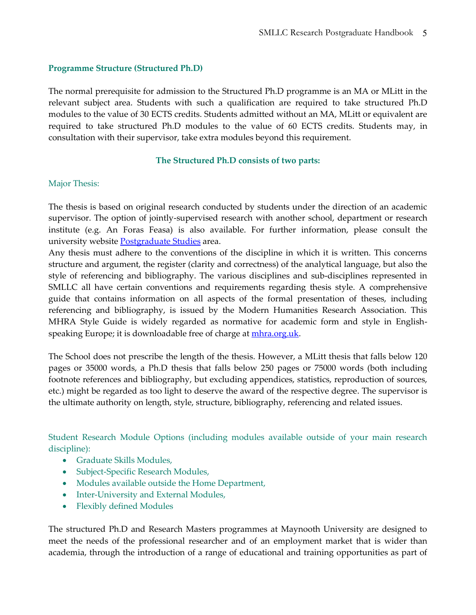#### **Programme Structure (Structured Ph.D)**

The normal prerequisite for admission to the Structured Ph.D programme is an MA or MLitt in the relevant subject area. Students with such a qualification are required to take structured Ph.D modules to the value of 30 ECTS credits. Students admitted without an MA, MLitt or equivalent are required to take structured Ph.D modules to the value of 60 ECTS credits. Students may, in consultation with their supervisor, take extra modules beyond this requirement.

#### **The Structured Ph.D consists of two parts:**

#### Major Thesis:

The thesis is based on original research conducted by students under the direction of an academic supervisor. The option of jointly-supervised research with another school, department or research institute (e.g. An Foras Feasa) is also available. For further information, please consult the university website [Postgraduate Studies](https://www.maynoothuniversity.ie/study-maynooth/postgraduate-studies/phd-research-programmes) area.

Any thesis must adhere to the conventions of the discipline in which it is written. This concerns structure and argument, the register (clarity and correctness) of the analytical language, but also the style of referencing and bibliography. The various disciplines and sub-disciplines represented in SMLLC all have certain conventions and requirements regarding thesis style. A comprehensive guide that contains information on all aspects of the formal presentation of theses, including referencing and bibliography, is issued by the Modern Humanities Research Association. This MHRA Style Guide is widely regarded as normative for academic form and style in Englishspeaking Europe; it is downloadable free of charge at [mhra.org.uk.](http://www.mhra.org.uk/)

The School does not prescribe the length of the thesis. However, a MLitt thesis that falls below 120 pages or 35000 words, a Ph.D thesis that falls below 250 pages or 75000 words (both including footnote references and bibliography, but excluding appendices, statistics, reproduction of sources, etc.) might be regarded as too light to deserve the award of the respective degree. The supervisor is the ultimate authority on length, style, structure, bibliography, referencing and related issues.

Student Research Module Options (including modules available outside of your main research discipline):

- Graduate Skills Modules,
- Subject-Specific Research Modules,
- Modules available outside the Home Department,
- Inter-University and External Modules,
- Flexibly defined Modules

The structured Ph.D and Research Masters programmes at Maynooth University are designed to meet the needs of the professional researcher and of an employment market that is wider than academia, through the introduction of a range of educational and training opportunities as part of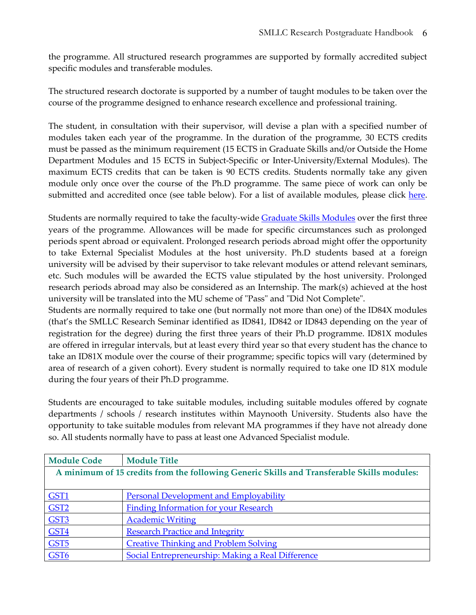the programme. All structured research programmes are supported by formally accredited subject specific modules and transferable modules.

The structured research doctorate is supported by a number of taught modules to be taken over the course of the programme designed to enhance research excellence and professional training.

The student, in consultation with their supervisor, will devise a plan with a specified number of modules taken each year of the programme. In the duration of the programme, 30 ECTS credits must be passed as the minimum requirement (15 ECTS in Graduate Skills and/or Outside the Home Department Modules and 15 ECTS in Subject-Specific or Inter-University/External Modules). The maximum ECTS credits that can be taken is 90 ECTS credits. Students normally take any given module only once over the course of the Ph.D programme. The same piece of work can only be submitted and accredited once (see table below). For a list of available modules, please click [here.](https://www.maynoothuniversity.ie/graduate-studies/modules-research-students)

Students are normally required to take the faculty-wide [Graduate Skills Modules](https://www.maynoothuniversity.ie/graduate-studies/modules-research-students) over the first three years of the programme. Allowances will be made for specific circumstances such as prolonged periods spent abroad or equivalent. Prolonged research periods abroad might offer the opportunity to take External Specialist Modules at the host university. Ph.D students based at a foreign university will be advised by their supervisor to take relevant modules or attend relevant seminars, etc. Such modules will be awarded the ECTS value stipulated by the host university. Prolonged research periods abroad may also be considered as an Internship. The mark(s) achieved at the host university will be translated into the MU scheme of "Pass" and "Did Not Complete".

Students are normally required to take one (but normally not more than one) of the ID84X modules (that's the SMLLC Research Seminar identified as ID841, ID842 or ID843 depending on the year of registration for the degree) during the first three years of their Ph.D programme. ID81X modules are offered in irregular intervals, but at least every third year so that every student has the chance to take an ID81X module over the course of their programme; specific topics will vary (determined by area of research of a given cohort). Every student is normally required to take one ID 81X module during the four years of their Ph.D programme.

Students are encouraged to take suitable modules, including suitable modules offered by cognate departments / schools / research institutes within Maynooth University. Students also have the opportunity to take suitable modules from relevant MA programmes if they have not already done so. All students normally have to pass at least one Advanced Specialist module.

| <b>Module Code</b>                                                                         | <b>Module Title</b>                               |  |
|--------------------------------------------------------------------------------------------|---------------------------------------------------|--|
| A minimum of 15 credits from the following Generic Skills and Transferable Skills modules: |                                                   |  |
|                                                                                            |                                                   |  |
| GST <sub>1</sub>                                                                           | <b>Personal Development and Employability</b>     |  |
| GST <sub>2</sub>                                                                           | <b>Finding Information for your Research</b>      |  |
| GST3                                                                                       | <b>Academic Writing</b>                           |  |
| GST <sub>4</sub>                                                                           | <b>Research Practice and Integrity</b>            |  |
| GST <sub>5</sub>                                                                           | <b>Creative Thinking and Problem Solving</b>      |  |
| GST <sub>6</sub>                                                                           | Social Entrepreneurship: Making a Real Difference |  |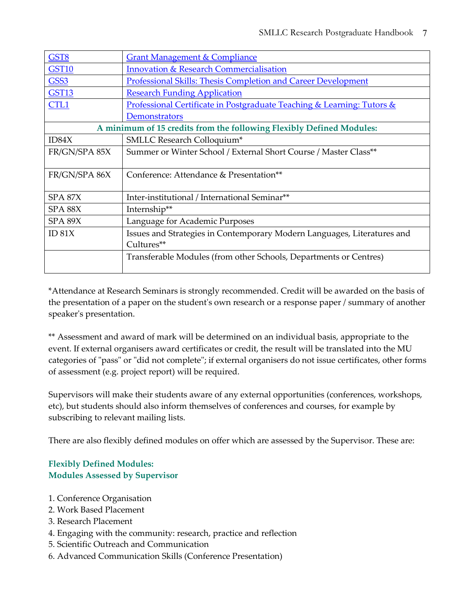| GST8                                                                 | <b>Grant Management &amp; Compliance</b>                                |
|----------------------------------------------------------------------|-------------------------------------------------------------------------|
| <b>GST10</b>                                                         | <b>Innovation &amp; Research Commercialisation</b>                      |
| GSS <sub>3</sub>                                                     | <b>Professional Skills: Thesis Completion and Career Development</b>    |
| <b>GST13</b>                                                         | <b>Research Funding Application</b>                                     |
| CTL1                                                                 | Professional Certificate in Postgraduate Teaching & Learning: Tutors &  |
|                                                                      | Demonstrators                                                           |
| A minimum of 15 credits from the following Flexibly Defined Modules: |                                                                         |
| ID84X                                                                | SMLLC Research Colloquium*                                              |
| FR/GN/SPA 85X                                                        | Summer or Winter School / External Short Course / Master Class**        |
|                                                                      |                                                                         |
| FR/GN/SPA 86X                                                        | Conference: Attendance & Presentation**                                 |
|                                                                      |                                                                         |
| SPA 87X                                                              | Inter-institutional / International Seminar**                           |
| SPA 88X                                                              | Internship**                                                            |
| SPA 89X                                                              | Language for Academic Purposes                                          |
| ID 81X                                                               | Issues and Strategies in Contemporary Modern Languages, Literatures and |
|                                                                      | Cultures**                                                              |
|                                                                      | Transferable Modules (from other Schools, Departments or Centres)       |
|                                                                      |                                                                         |

\*Attendance at Research Seminars is strongly recommended. Credit will be awarded on the basis of the presentation of a paper on the student's own research or a response paper / summary of another speaker's presentation.

\*\* Assessment and award of mark will be determined on an individual basis, appropriate to the event. If external organisers award certificates or credit, the result will be translated into the MU categories of "pass" or "did not complete"; if external organisers do not issue certificates, other forms of assessment (e.g. project report) will be required.

Supervisors will make their students aware of any external opportunities (conferences, workshops, etc), but students should also inform themselves of conferences and courses, for example by subscribing to relevant mailing lists.

There are also flexibly defined modules on offer which are assessed by the Supervisor. These are:

# **Flexibly Defined Modules: Modules Assessed by Supervisor**

- 1. Conference Organisation
- 2. Work Based Placement
- 3. Research Placement
- 4. Engaging with the community: research, practice and reflection
- 5. Scientific Outreach and Communication
- 6. Advanced Communication Skills (Conference Presentation)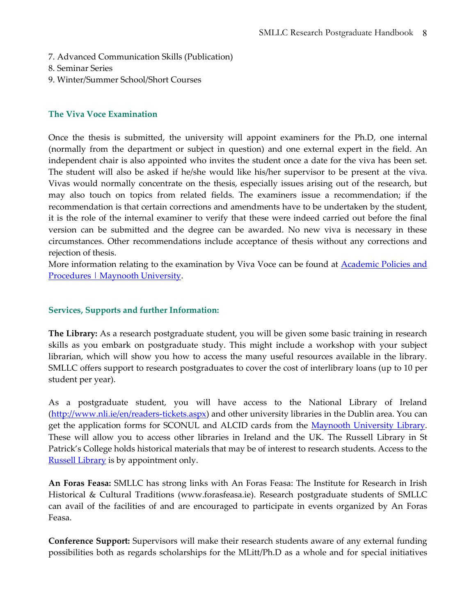- 7. Advanced Communication Skills (Publication)
- 8. Seminar Series
- 9. Winter/Summer School/Short Courses

#### **The Viva Voce Examination**

Once the thesis is submitted, the university will appoint examiners for the Ph.D, one internal (normally from the department or subject in question) and one external expert in the field. An independent chair is also appointed who invites the student once a date for the viva has been set. The student will also be asked if he/she would like his/her supervisor to be present at the viva. Vivas would normally concentrate on the thesis, especially issues arising out of the research, but may also touch on topics from related fields. The examiners issue a recommendation; if the recommendation is that certain corrections and amendments have to be undertaken by the student, it is the role of the internal examiner to verify that these were indeed carried out before the final version can be submitted and the degree can be awarded. No new viva is necessary in these circumstances. Other recommendations include acceptance of thesis without any corrections and rejection of thesis.

More information relating to the examination by Viva Voce can be found at **Academic Policies and** Procedures | Maynooth University.

# **Services, Supports and further Information:**

**The Library:** As a research postgraduate student, you will be given some basic training in research skills as you embark on postgraduate study. This might include a workshop with your subject librarian, which will show you how to access the many useful resources available in the library. SMLLC offers support to research postgraduates to cover the cost of interlibrary loans (up to 10 per student per year).

As a postgraduate student, you will have access to the National Library of Ireland (http://www.nli.ie/en/readers-tickets.aspx) and other university libraries in the Dublin area. You can get the application forms for SCONUL and ALCID cards from the Maynooth University Library. These will allow you to access other libraries in Ireland and the UK. The Russell Library in St Patrick's College holds historical materials that may be of interest to research students. Access to the Russell Library is by appointment only.

**An Foras Feasa:** SMLLC has strong links with An Foras Feasa: The Institute for Research in Irish Historical & Cultural Traditions (www.forasfeasa.ie). Research postgraduate students of SMLLC can avail of the facilities of and are encouraged to participate in events organized by An Foras Feasa.

**Conference Support:** Supervisors will make their research students aware of any external funding possibilities both as regards scholarships for the MLitt/Ph.D as a whole and for special initiatives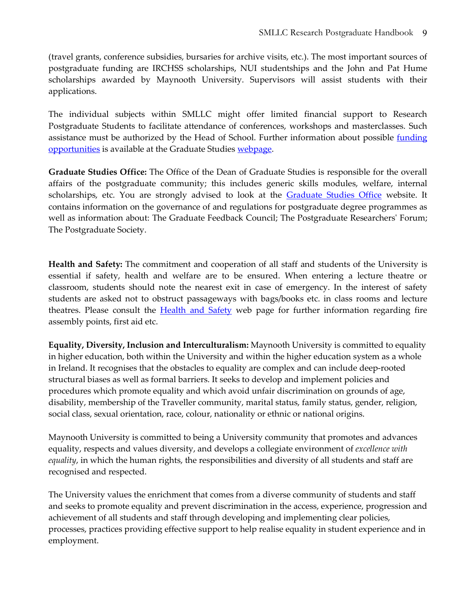(travel grants, conference subsidies, bursaries for archive visits, etc.). The most important sources of postgraduate funding are IRCHSS scholarships, NUI studentships and the John and Pat Hume scholarships awarded by Maynooth University. Supervisors will assist students with their applications.

The individual subjects within SMLLC might offer limited financial support to Research Postgraduate Students to facilitate attendance of conferences, workshops and masterclasses. Such assistance must be authorized by the Head of School. Further information about possible funding opportunities is available at the Graduate Studies webpage.

**Graduate Studies Office:** The Office of the Dean of Graduate Studies is responsible for the overall affairs of the postgraduate community; this includes generic skills modules, welfare, internal scholarships, etc. You are strongly advised to look at the **Graduate Studies Office** website. It contains information on the governance of and regulations for postgraduate degree programmes as well as information about: The Graduate Feedback Council; The Postgraduate Researchers' Forum; The Postgraduate Society.

**Health and Safety:** The commitment and cooperation of all staff and students of the University is essential if safety, health and welfare are to be ensured. When entering a lecture theatre or classroom, students should note the nearest exit in case of emergency. In the interest of safety students are asked not to obstruct passageways with bags/books etc. in class rooms and lecture theatres. Please consult the **Health and Safety** web page for further information regarding fire assembly points, first aid etc.

**Equality, Diversity, Inclusion and Interculturalism:** Maynooth University is committed to equality in higher education, both within the University and within the higher education system as a whole in Ireland. It recognises that the obstacles to equality are complex and can include deep-rooted structural biases as well as formal barriers. It seeks to develop and implement policies and procedures which promote equality and which avoid unfair discrimination on grounds of age, disability, membership of the Traveller community, marital status, family status, gender, religion, social class, sexual orientation, race, colour, nationality or ethnic or national origins.

Maynooth University is committed to being a University community that promotes and advances equality, respects and values diversity, and develops a collegiate environment of *excellence with equality*, in which the human rights, the responsibilities and diversity of all students and staff are recognised and respected.

The University values the enrichment that comes from a diverse community of students and staff and seeks to promote equality and prevent discrimination in the access, experience, progression and achievement of all students and staff through developing and implementing clear policies, processes, practices providing effective support to help realise equality in student experience and in employment.